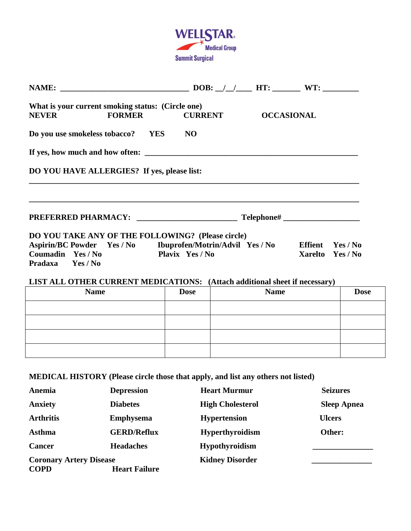

| What is your current smoking status: (Circle one)                                 |                                                                                                                       |                  |  |
|-----------------------------------------------------------------------------------|-----------------------------------------------------------------------------------------------------------------------|------------------|--|
| NEVER FORMER CURRENT OCCASIONAL                                                   |                                                                                                                       |                  |  |
| Do you use smokeless tobacco? YES NO                                              |                                                                                                                       |                  |  |
|                                                                                   |                                                                                                                       |                  |  |
| DO YOU HAVE ALLERGIES? If yes, please list:                                       | <u> 1989 - Johann Harry Harry Harry Harry Harry Harry Harry Harry Harry Harry Harry Harry Harry Harry Harry Harry</u> |                  |  |
| ,我们也不能在这里的时候,我们也不能在这里的时候,我们也不能会在这里的时候,我们也不能会在这里的时候,我们也不能会在这里的时候,我们也不能会在这里的时候,我们也不 |                                                                                                                       |                  |  |
| DO YOU TAKE ANY OF THE FOLLOWING? (Please circle)                                 |                                                                                                                       |                  |  |
| Aspirin/BC Powder Yes / No Ibuprofen/Motrin/Advil Yes / No Effient Yes / No       |                                                                                                                       |                  |  |
| Coumadin Yes / No                                                                 | <b>Plavix</b> Yes / No                                                                                                | Xarelto Yes / No |  |
| Pradaxa Yes / No                                                                  |                                                                                                                       |                  |  |
| LIST ALL OTHER CURRENT MEDICATIONS: (Attach additional sheet if necessary)        |                                                                                                                       |                  |  |

| <b>Name</b> | <b>Dose</b> | <b>Name</b> | <b>Dose</b> |
|-------------|-------------|-------------|-------------|
|             |             |             |             |
|             |             |             |             |
|             |             |             |             |
|             |             |             |             |

**MEDICAL HISTORY (Please circle those that apply, and list any others not listed)**

| Anemia                         | <b>Depression</b>    | <b>Heart Murmur</b>     | <b>Seizures</b>    |
|--------------------------------|----------------------|-------------------------|--------------------|
| <b>Anxiety</b>                 | <b>Diabetes</b>      | <b>High Cholesterol</b> | <b>Sleep Apnea</b> |
| <b>Arthritis</b>               | <b>Emphysema</b>     | <b>Hypertension</b>     | <b>Ulcers</b>      |
| <b>Asthma</b>                  | <b>GERD/Reflux</b>   | <b>Hyperthyroidism</b>  | Other:             |
| <b>Cancer</b>                  | <b>Headaches</b>     | <b>Hypothyroidism</b>   |                    |
| <b>Coronary Artery Disease</b> |                      | <b>Kidney Disorder</b>  |                    |
| <b>COPD</b>                    | <b>Heart Failure</b> |                         |                    |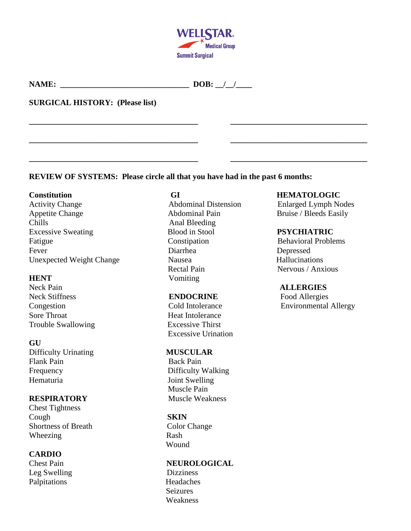

**\_\_\_\_\_\_\_\_\_\_\_\_\_\_\_\_\_\_\_\_\_\_\_\_\_\_\_\_\_\_\_\_\_\_\_\_\_\_\_\_\_\_ \_\_\_\_\_\_\_\_\_\_\_\_\_\_\_\_\_\_\_\_\_\_\_\_\_\_\_\_\_\_\_\_\_\_**

**\_\_\_\_\_\_\_\_\_\_\_\_\_\_\_\_\_\_\_\_\_\_\_\_\_\_\_\_\_\_\_\_\_\_\_\_\_\_\_\_\_\_ \_\_\_\_\_\_\_\_\_\_\_\_\_\_\_\_\_\_\_\_\_\_\_\_\_\_\_\_\_\_\_\_\_\_**

**\_\_\_\_\_\_\_\_\_\_\_\_\_\_\_\_\_\_\_\_\_\_\_\_\_\_\_\_\_\_\_\_\_\_\_\_\_\_\_\_\_\_ \_\_\_\_\_\_\_\_\_\_\_\_\_\_\_\_\_\_\_\_\_\_\_\_\_\_\_\_\_\_\_\_\_\_**

| <b>NAME</b><br>. | <b>NO</b> |  |  |
|------------------|-----------|--|--|
|------------------|-----------|--|--|

## **SURGICAL HISTORY: (Please list)**

## **REVIEW OF SYSTEMS: Please circle all that you have had in the past 6 months:**

Appetite Change Abdominal Pain Bruise / Bleeds Easily Chills Anal Bleeding Excessive Sweating Blood in Stool **PSYCHIATRIC** Fatigue Constipation **Behavioral Problems** Fever Diarrhea Depressed Unexpected Weight Change Nausea Nausea Hallucinations

Neck Pain **ALLERGIES ENDOCRINE** Food Allergies Sore Throat The Throat Heat Intolerance Trouble Swallowing Excessive Thirst

### **GU**

Difficulty Urinating **MUSCULAR** Flank Pain<br>
Back Pain Frequency Difficulty Walking Hematuria Joint Swelling

Chest Tightness Cough **SKIN** Shortness of Breath Color Change Wheezing Rash

# **CARDIO**

Leg Swelling Dizziness Palpitations Headaches

Rectal Pain Nervous / Anxious **HENT** Vomiting

Excessive Urination

 Muscle Pain **RESPIRATORY** Muscle Weakness

Wound

## Chest Pain **NEUROLOGICAL**

 Seizures Weakness

### **Constitution GI GI HEMATOLOGIC**

Activity Change **Abdominal Distension Enlarged Lymph Nodes** 

Congestion Cold Intolerance Environmental Allergy